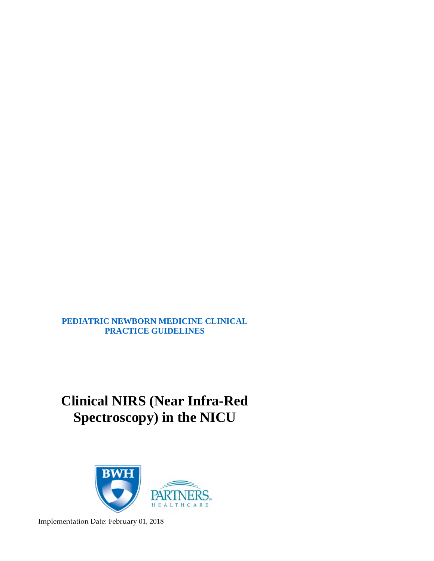**PEDIATRIC NEWBORN MEDICINE CLINICAL PRACTICE GUIDELINES**

# **Clinical NIRS (Near Infra-Red Spectroscopy) in the NICU**



Implementation Date: February 01, 2018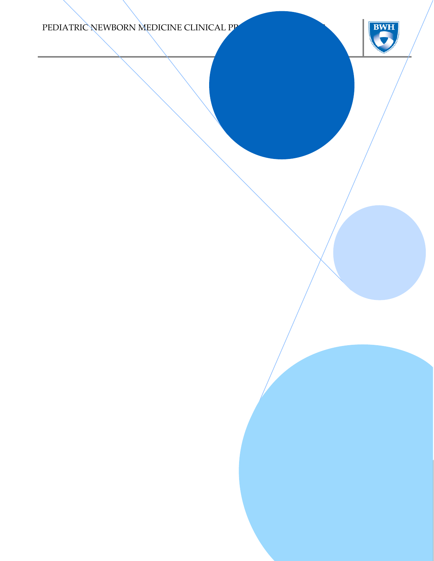PEDIATRIC NEWBORN MEDICINE CLINICAL PP

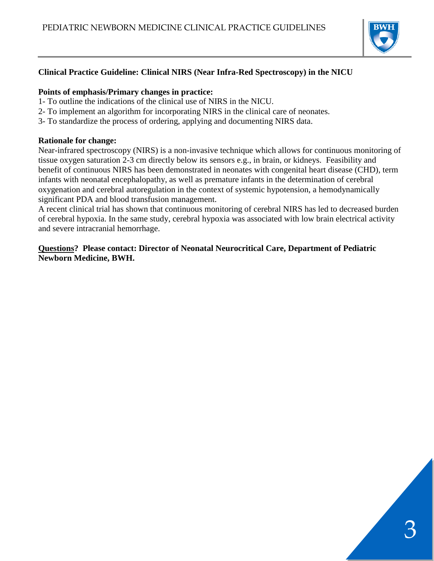

## **Clinical Practice Guideline: Clinical NIRS (Near Infra-Red Spectroscopy) in the NICU**

#### **Points of emphasis/Primary changes in practice:**

- 1- To outline the indications of the clinical use of NIRS in the NICU.
- 2- To implement an algorithm for incorporating NIRS in the clinical care of neonates.
- 3- To standardize the process of ordering, applying and documenting NIRS data.

#### **Rationale for change:**

Near-infrared spectroscopy (NIRS) is a non-invasive technique which allows for continuous monitoring of tissue oxygen saturation 2-3 cm directly below its sensors e.g., in brain, or kidneys. Feasibility and benefit of continuous NIRS has been demonstrated in neonates with congenital heart disease (CHD), term infants with neonatal encephalopathy, as well as premature infants in the determination of cerebral oxygenation and cerebral autoregulation in the context of systemic hypotension, a hemodynamically significant PDA and blood transfusion management.

A recent clinical trial has shown that continuous monitoring of cerebral NIRS has led to decreased burden of cerebral hypoxia. In the same study, cerebral hypoxia was associated with low brain electrical activity and severe intracranial hemorrhage.

#### **Questions? Please contact: Director of Neonatal Neurocritical Care, Department of Pediatric Newborn Medicine, BWH.**

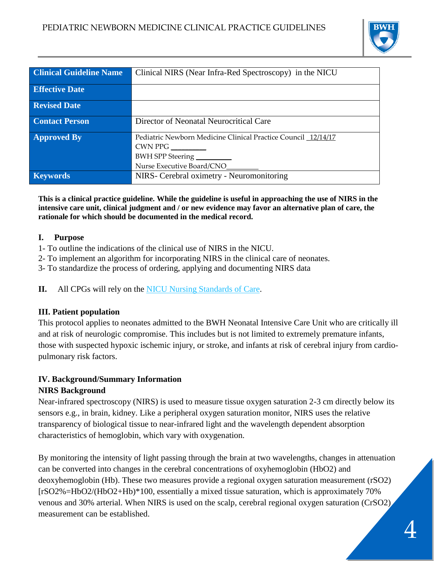

| <b>Clinical Guideline Name</b> | Clinical NIRS (Near Infra-Red Spectroscopy) in the NICU       |
|--------------------------------|---------------------------------------------------------------|
|                                |                                                               |
| <b>Effective Date</b>          |                                                               |
|                                |                                                               |
| <b>Revised Date</b>            |                                                               |
|                                |                                                               |
| <b>Contact Person</b>          | Director of Neonatal Neurocritical Care                       |
|                                |                                                               |
| <b>Approved By</b>             | Pediatric Newborn Medicine Clinical Practice Council 12/14/17 |
|                                | CWN PPG                                                       |
|                                | BWH SPP Steering                                              |
|                                | Nurse Executive Board/CNO____                                 |
| <b>Keywords</b>                | NIRS- Cerebral oximetry - Neuromonitoring                     |
|                                |                                                               |

**This is a clinical practice guideline. While the guideline is useful in approaching the use of NIRS in the intensive care unit, clinical judgment and / or new evidence may favor an alternative plan of care, the rationale for which should be documented in the medical record.**

## **I. Purpose**

- 1- To outline the indications of the clinical use of NIRS in the NICU.
- 2- To implement an algorithm for incorporating NIRS in the clinical care of neonates.
- 3- To standardize the process of ordering, applying and documenting NIRS data

**II.** All CPGs will rely on the [NICU Nursing Standards of Care.](http://www.bwhpikenotes.org/policies/Nursing/CWN_Clinical_Practice_Manual/NICU/NICU_Standards.pdf)

## **III. Patient population**

This protocol applies to neonates admitted to the BWH Neonatal Intensive Care Unit who are critically ill and at risk of neurologic compromise. This includes but is not limited to extremely premature infants, those with suspected hypoxic ischemic injury, or stroke, and infants at risk of cerebral injury from cardiopulmonary risk factors.

#### **IV. Background/Summary Information NIRS Background**

Near-infrared spectroscopy (NIRS) is used to measure tissue oxygen saturation 2-3 cm directly below its sensors e.g., in brain, kidney. Like a peripheral oxygen saturation monitor, NIRS uses the relative transparency of biological tissue to near-infrared light and the wavelength dependent absorption characteristics of hemoglobin, which vary with oxygenation.

By monitoring the intensity of light passing through the brain at two wavelengths, changes in attenuation can be converted into changes in the cerebral concentrations of oxyhemoglobin (HbO2) and deoxyhemoglobin (Hb). These two measures provide a regional oxygen saturation measurement (rSO2) [rSO2%=HbO2/(HbO2+Hb)\*100, essentially a mixed tissue saturation, which is approximately 70% venous and 30% arterial. When NIRS is used on the scalp, cerebral regional oxygen saturation (CrSO2) measurement can be established.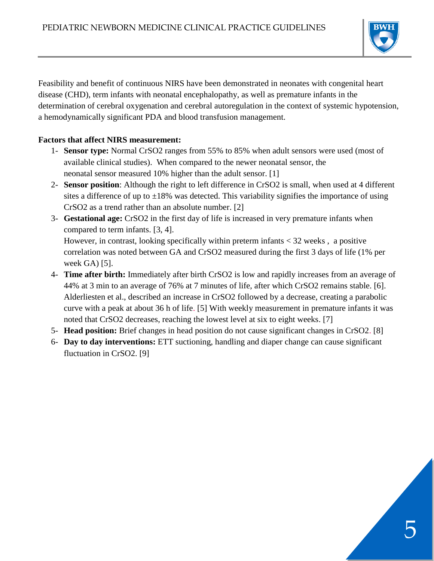

Feasibility and benefit of continuous NIRS have been demonstrated in neonates with congenital heart disease (CHD), term infants with neonatal encephalopathy, as well as premature infants in the determination of cerebral oxygenation and cerebral autoregulation in the context of systemic hypotension, a hemodynamically significant PDA and blood transfusion management.

## **Factors that affect NIRS measurement:**

- 1- **Sensor type:** Normal CrSO2 ranges from 55% to 85% when adult sensors were used (most of available clinical studies). When compared to the newer neonatal sensor, the neonatal sensor measured 10% higher than the adult sensor. [1]
- 2- **Sensor position**: Although the right to left difference in CrSO2 is small, when used at 4 different sites a difference of up to  $\pm 18\%$  was detected. This variability signifies the importance of using CrSO2 as a trend rather than an absolute number. [2]
- 3- **Gestational age:** CrSO2 in the first day of life is increased in very premature infants when compared to term infants. [3, 4].

However, in contrast, looking specifically within preterm infants  $<$  32 weeks, a positive correlation was noted between GA and CrSO2 measured during the first 3 days of life (1% per week GA) [5].

- 4- **Time after birth:** Immediately after birth CrSO2 is low and rapidly increases from an average of 44% at 3 min to an average of 76% at 7 minutes of life, after which CrSO2 remains stable. [6]. Alderliesten et al., described an increase in CrSO2 followed by a decrease, creating a parabolic curve with a peak at about 36 h of life. [5] With weekly measurement in premature infants it was noted that CrSO2 decreases, reaching the lowest level at six to eight weeks. [7]
- 5- **Head position:** Brief changes in head position do not cause significant changes in CrSO2. [8]
- 6- **Day to day interventions:** ETT suctioning, handling and diaper change can cause significant fluctuation in CrSO2. [9]

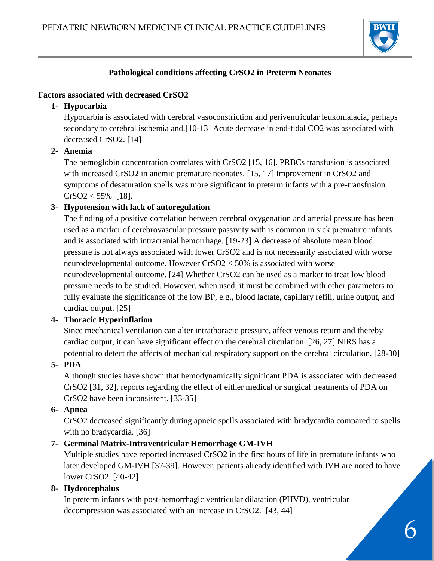

# **Pathological conditions affecting CrSO2 in Preterm Neonates**

## **Factors associated with decreased CrSO2**

## **1- Hypocarbia**

Hypocarbia is associated with cerebral vasoconstriction and periventricular leukomalacia, perhaps secondary to cerebral ischemia and.[10-13] Acute decrease in end-tidal CO2 was associated with decreased CrSO2. [14]

## **2- Anemia**

The hemoglobin concentration correlates with CrSO2 [15, 16]. PRBCs transfusion is associated with increased CrSO2 in anemic premature neonates. [15, 17] Improvement in CrSO2 and symptoms of desaturation spells was more significant in preterm infants with a pre-transfusion  $CrSO2 < 55\%$  [18].

## **3- Hypotension with lack of autoregulation**

The finding of a positive correlation between cerebral oxygenation and arterial pressure has been used as a marker of cerebrovascular pressure passivity with is common in sick premature infants and is associated with intracranial hemorrhage. [19-23] A decrease of absolute mean blood pressure is not always associated with lower CrSO2 and is not necessarily associated with worse neurodevelopmental outcome. However CrSO2 < 50% is associated with worse neurodevelopmental outcome. [24] Whether CrSO2 can be used as a marker to treat low blood pressure needs to be studied. However, when used, it must be combined with other parameters to fully evaluate the significance of the low BP, e.g., blood lactate, capillary refill, urine output, and cardiac output. [25]

## **4- Thoracic Hyperinflation**

Since mechanical ventilation can alter intrathoracic pressure, affect venous return and thereby cardiac output, it can have significant effect on the cerebral circulation. [26, 27] NIRS has a potential to detect the affects of mechanical respiratory support on the cerebral circulation. [28-30]

#### **5- PDA**

Although studies have shown that hemodynamically significant PDA is associated with decreased CrSO2 [31, 32], reports regarding the effect of either medical or surgical treatments of PDA on CrSO2 have been inconsistent. [33-35]

## **6- Apnea**

CrSO2 decreased significantly during apneic spells associated with bradycardia compared to spells with no bradycardia. [36]

## **7- Germinal Matrix-Intraventricular Hemorrhage GM-IVH**

Multiple studies have reported increased CrSO2 in the first hours of life in premature infants who later developed GM-IVH [37-39]. However, patients already identified with IVH are noted to have lower CrSO2. [40-42]

#### **8- Hydrocephalus**

In preterm infants with post-hemorrhagic ventricular dilatation (PHVD), ventricular decompression was associated with an increase in CrSO2. [43, 44]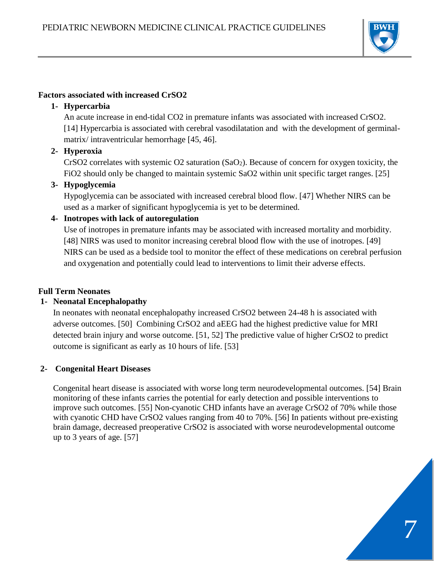

## **Factors associated with increased CrSO2**

## **1- Hypercarbia**

An acute increase in end-tidal CO2 in premature infants was associated with increased CrSO2. [14] Hypercarbia is associated with cerebral vasodilatation and with the development of germinalmatrix/ intraventricular hemorrhage [45, 46].

## **2- Hyperoxia**

CrSO2 correlates with systemic O2 saturation  $(SaO<sub>2</sub>)$ . Because of concern for oxygen toxicity, the FiO2 should only be changed to maintain systemic SaO2 within unit specific target ranges. [25]

## **3- Hypoglycemia**

Hypoglycemia can be associated with increased cerebral blood flow. [47] Whether NIRS can be used as a marker of significant hypoglycemia is yet to be determined.

## **4- Inotropes with lack of autoregulation**

Use of inotropes in premature infants may be associated with increased mortality and morbidity. [48] NIRS was used to monitor increasing cerebral blood flow with the use of inotropes. [49] NIRS can be used as a bedside tool to monitor the effect of these medications on cerebral perfusion and oxygenation and potentially could lead to interventions to limit their adverse effects.

## **Full Term Neonates**

## **1- Neonatal Encephalopathy**

In neonates with neonatal encephalopathy increased CrSO2 between 24-48 h is associated with adverse outcomes. [50] Combining CrSO2 and aEEG had the highest predictive value for MRI detected brain injury and worse outcome. [51, 52] The predictive value of higher CrSO2 to predict outcome is significant as early as 10 hours of life. [53]

## **2- Congenital Heart Diseases**

Congenital heart disease is associated with worse long term neurodevelopmental outcomes. [54] Brain monitoring of these infants carries the potential for early detection and possible interventions to improve such outcomes. [55] Non-cyanotic CHD infants have an average CrSO2 of 70% while those with cyanotic CHD have CrSO2 values ranging from 40 to 70%. [56] In patients without pre-existing brain damage, decreased preoperative CrSO2 is associated with worse neurodevelopmental outcome up to 3 years of age. [57]

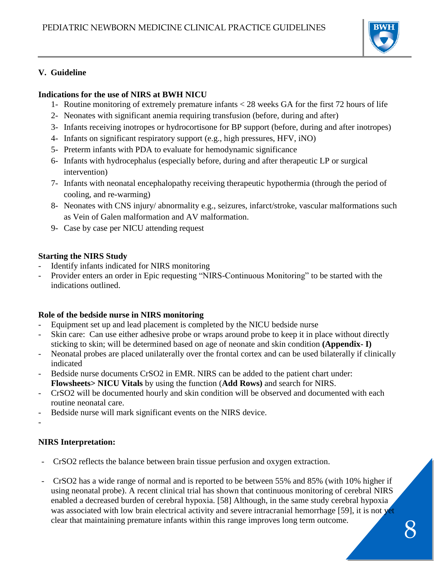

## **V. Guideline**

## **Indications for the use of NIRS at BWH NICU**

- 1- Routine monitoring of extremely premature infants < 28 weeks GA for the first 72 hours of life
- 2- Neonates with significant anemia requiring transfusion (before, during and after)
- 3- Infants receiving inotropes or hydrocortisone for BP support (before, during and after inotropes)
- 4- Infants on significant respiratory support (e.g., high pressures, HFV, iNO)
- 5- Preterm infants with PDA to evaluate for hemodynamic significance
- 6- Infants with hydrocephalus (especially before, during and after therapeutic LP or surgical intervention)
- 7- Infants with neonatal encephalopathy receiving therapeutic hypothermia (through the period of cooling, and re-warming)
- 8- Neonates with CNS injury/ abnormality e.g., seizures, infarct/stroke, vascular malformations such as Vein of Galen malformation and AV malformation.
- 9- Case by case per NICU attending request

## **Starting the NIRS Study**

- Identify infants indicated for NIRS monitoring
- Provider enters an order in Epic requesting "NIRS-Continuous Monitoring" to be started with the indications outlined.

## **Role of the bedside nurse in NIRS monitoring**

- Equipment set up and lead placement is completed by the NICU bedside nurse
- Skin care: Can use either adhesive probe or wraps around probe to keep it in place without directly sticking to skin; will be determined based on age of neonate and skin condition **(Appendix- I)**
- Neonatal probes are placed unilaterally over the frontal cortex and can be used bilaterally if clinically indicated
- Bedside nurse documents CrSO2 in EMR. NIRS can be added to the patient chart under: **Flowsheets> NICU Vitals** by using the function (**Add Rows)** and search for NIRS.
- CrSO2 will be documented hourly and skin condition will be observed and documented with each routine neonatal care.
- Bedside nurse will mark significant events on the NIRS device.
- -

## **NIRS Interpretation:**

- CrSO2 reflects the balance between brain tissue perfusion and oxygen extraction.
- CrSO2 has a wide range of normal and is reported to be between 55% and 85% (with 10% higher if using neonatal probe). A recent clinical trial has shown that continuous monitoring of cerebral NIRS enabled a decreased burden of cerebral hypoxia. [58] Although, in the same study cerebral hypoxia was associated with low brain electrical activity and severe intracranial hemorrhage [59], it is not yet clear that maintaining premature infants within this range improves long term outcome.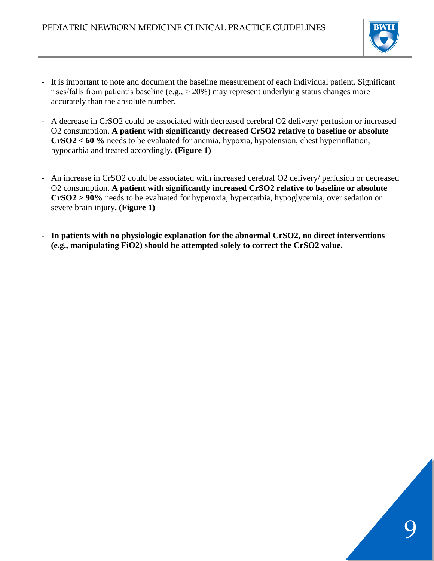

- It is important to note and document the baseline measurement of each individual patient. Significant rises/falls from patient's baseline (e.g., > 20%) may represent underlying status changes more accurately than the absolute number.
- A decrease in CrSO2 could be associated with decreased cerebral O2 delivery/ perfusion or increased O2 consumption. **A patient with significantly decreased CrSO2 relative to baseline or absolute CrSO2 < 60 %** needs to be evaluated for anemia, hypoxia, hypotension, chest hyperinflation, hypocarbia and treated accordingly**. (Figure 1)**
- An increase in CrSO2 could be associated with increased cerebral O2 delivery/ perfusion or decreased O2 consumption. **A patient with significantly increased CrSO2 relative to baseline or absolute CrSO2 > 90%** needs to be evaluated for hyperoxia, hypercarbia, hypoglycemia, over sedation or severe brain injury**. (Figure 1)**
- **In patients with no physiologic explanation for the abnormal CrSO2, no direct interventions (e.g., manipulating FiO2) should be attempted solely to correct the CrSO2 value.**

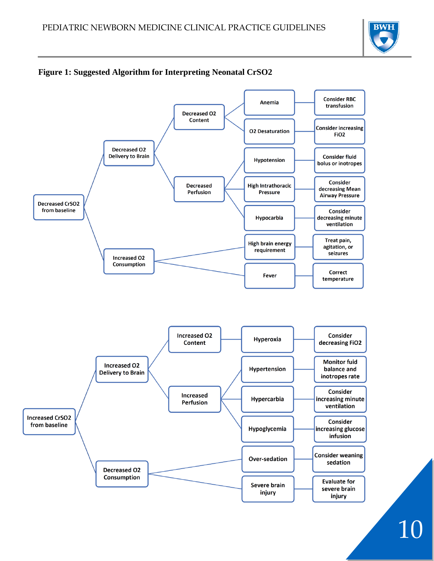



# **Figure 1: Suggested Algorithm for Interpreting Neonatal CrSO2**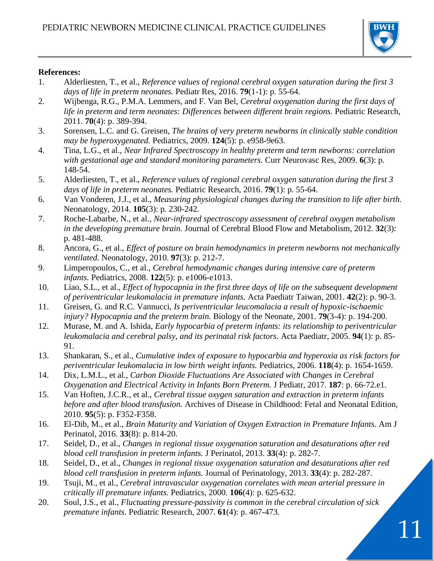

#### **References:**

- 1. Alderliesten, T., et al., *Reference values of regional cerebral oxygen saturation during the first 3 days of life in preterm neonates.* Pediatr Res, 2016. **79**(1-1): p. 55-64.
- 2. Wijbenga, R.G., P.M.A. Lemmers, and F. Van Bel, *Cerebral oxygenation during the first days of life in preterm and term neonates: Differences between different brain regions.* Pediatric Research, 2011. **70**(4): p. 389-394.
- 3. Sorensen, L.C. and G. Greisen, *The brains of very preterm newborns in clinically stable condition may be hyperoxygenated.* Pediatrics, 2009. **124**(5): p. e958-9e63.
- 4. Tina, L.G., et al., *Near Infrared Spectroscopy in healthy preterm and term newborns: correlation with gestational age and standard monitoring parameters.* Curr Neurovasc Res, 2009. **6**(3): p. 148-54.
- 5. Alderliesten, T., et al., *Reference values of regional cerebral oxygen saturation during the first 3 days of life in preterm neonates.* Pediatric Research, 2016. **79**(1): p. 55-64.
- 6. Van Vonderen, J.J., et al., *Measuring physiological changes during the transition to life after birth.* Neonatology, 2014. **105**(3): p. 230-242.
- 7. Roche-Labarbe, N., et al., *Near-infrared spectroscopy assessment of cerebral oxygen metabolism in the developing premature brain.* Journal of Cerebral Blood Flow and Metabolism, 2012. **32**(3): p. 481-488.
- 8. Ancora, G., et al., *Effect of posture on brain hemodynamics in preterm newborns not mechanically ventilated.* Neonatology, 2010. **97**(3): p. 212-7.
- 9. Limperopoulos, C., et al., *Cerebral hemodynamic changes during intensive care of preterm infants.* Pediatrics, 2008. **122**(5): p. e1006-e1013.
- 10. Liao, S.L., et al., *Effect of hypocapnia in the first three days of life on the subsequent development of periventricular leukomalacia in premature infants.* Acta Paediatr Taiwan, 2001. **42**(2): p. 90-3.
- 11. Greisen, G. and R.C. Vannucci, *Is periventricular leucomalacia a result of hypoxic-ischaemic injury? Hypocapnia and the preterm brain.* Biology of the Neonate, 2001. **79**(3-4): p. 194-200.
- 12. Murase, M. and A. Ishida, *Early hypocarbia of preterm infants: its relationship to periventricular leukomalacia and cerebral palsy, and its perinatal risk factors.* Acta Paediatr, 2005. **94**(1): p. 85- 91.
- 13. Shankaran, S., et al., *Cumulative index of exposure to hypocarbia and hyperoxia as risk factors for periventricular leukomalacia in low birth weight infants.* Pediatrics, 2006. **118**(4): p. 1654-1659.
- 14. Dix, L.M.L., et al., *Carbon Dioxide Fluctuations Are Associated with Changes in Cerebral Oxygenation and Electrical Activity in Infants Born Preterm.* J Pediatr, 2017. **187**: p. 66-72.e1.
- 15. Van Hoften, J.C.R., et al., *Cerebral tissue oxygen saturation and extraction in preterm infants before and after blood transfusion.* Archives of Disease in Childhood: Fetal and Neonatal Edition, 2010. **95**(5): p. F352-F358.
- 16. El-Dib, M., et al., *Brain Maturity and Variation of Oxygen Extraction in Premature Infants.* Am J Perinatol, 2016. **33**(8): p. 814-20.
- 17. Seidel, D., et al., *Changes in regional tissue oxygenation saturation and desaturations after red blood cell transfusion in preterm infants.* J Perinatol, 2013. **33**(4): p. 282-7.
- 18. Seidel, D., et al., *Changes in regional tissue oxygenation saturation and desaturations after red blood cell transfusion in preterm infants.* Journal of Perinatology, 2013. **33**(4): p. 282-287.
- 19. Tsuji, M., et al., *Cerebral intravascular oxygenation correlates with mean arterial pressure in critically ill premature infants.* Pediatrics, 2000. **106**(4): p. 625-632.
- 20. Soul, J.S., et al., *Fluctuating pressure-passivity is common in the cerebral circulation of sick premature infants.* Pediatric Research, 2007. **61**(4): p. 467-473.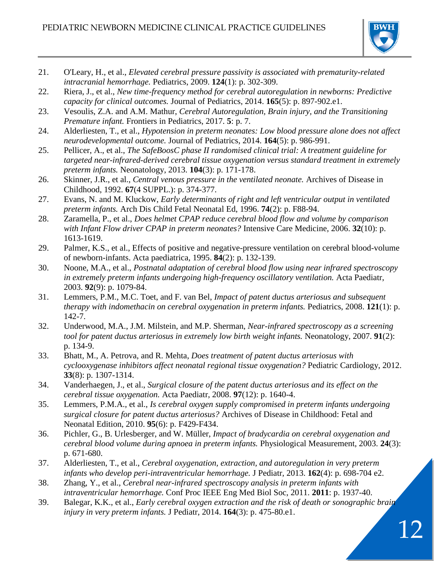

- 21. O'Leary, H., et al., *Elevated cerebral pressure passivity is associated with prematurity-related intracranial hemorrhage.* Pediatrics, 2009. **124**(1): p. 302-309.
- 22. Riera, J., et al., *New time-frequency method for cerebral autoregulation in newborns: Predictive capacity for clinical outcomes.* Journal of Pediatrics, 2014. **165**(5): p. 897-902.e1.
- 23. Vesoulis, Z.A. and A.M. Mathur, *Cerebral Autoregulation, Brain injury, and the Transitioning Premature infant.* Frontiers in Pediatrics, 2017. **5**: p. 7.
- 24. Alderliesten, T., et al., *Hypotension in preterm neonates: Low blood pressure alone does not affect neurodevelopmental outcome.* Journal of Pediatrics, 2014. **164**(5): p. 986-991.
- 25. Pellicer, A., et al., *The SafeBoosC phase II randomised clinical trial: A treatment guideline for targeted near-infrared-derived cerebral tissue oxygenation versus standard treatment in extremely preterm infants.* Neonatology, 2013. **104**(3): p. 171-178.
- 26. Skinner, J.R., et al., *Central venous pressure in the ventilated neonate.* Archives of Disease in Childhood, 1992. **67**(4 SUPPL.): p. 374-377.
- 27. Evans, N. and M. Kluckow, *Early determinants of right and left ventricular output in ventilated preterm infants.* Arch Dis Child Fetal Neonatal Ed, 1996. **74**(2): p. F88-94.
- 28. Zaramella, P., et al., *Does helmet CPAP reduce cerebral blood flow and volume by comparison with Infant Flow driver CPAP in preterm neonates?* Intensive Care Medicine, 2006. **32**(10): p. 1613-1619.
- 29. Palmer, K.S., et al., Effects of positive and negative-pressure ventilation on cerebral blood-volume of newborn-infants. Acta paediatrica, 1995. **84**(2): p. 132-139.
- 30. Noone, M.A., et al., *Postnatal adaptation of cerebral blood flow using near infrared spectroscopy in extremely preterm infants undergoing high-frequency oscillatory ventilation.* Acta Paediatr, 2003. **92**(9): p. 1079-84.
- 31. Lemmers, P.M., M.C. Toet, and F. van Bel, *Impact of patent ductus arteriosus and subsequent therapy with indomethacin on cerebral oxygenation in preterm infants.* Pediatrics, 2008. **121**(1): p. 142-7.
- 32. Underwood, M.A., J.M. Milstein, and M.P. Sherman, *Near-infrared spectroscopy as a screening tool for patent ductus arteriosus in extremely low birth weight infants.* Neonatology, 2007. **91**(2): p. 134-9.
- 33. Bhatt, M., A. Petrova, and R. Mehta, *Does treatment of patent ductus arteriosus with cyclooxygenase inhibitors affect neonatal regional tissue oxygenation?* Pediatric Cardiology, 2012. **33**(8): p. 1307-1314.
- 34. Vanderhaegen, J., et al., *Surgical closure of the patent ductus arteriosus and its effect on the cerebral tissue oxygenation.* Acta Paediatr, 2008. **97**(12): p. 1640-4.
- 35. Lemmers, P.M.A., et al., *Is cerebral oxygen supply compromised in preterm infants undergoing surgical closure for patent ductus arteriosus?* Archives of Disease in Childhood: Fetal and Neonatal Edition, 2010. **95**(6): p. F429-F434.
- 36. Pichler, G., B. Urlesberger, and W. Müller, *Impact of bradycardia on cerebral oxygenation and cerebral blood volume during apnoea in preterm infants.* Physiological Measurement, 2003. **24**(3): p. 671-680.
- 37. Alderliesten, T., et al., *Cerebral oxygenation, extraction, and autoregulation in very preterm infants who develop peri-intraventricular hemorrhage.* J Pediatr, 2013. **162**(4): p. 698-704 e2.
- 38. Zhang, Y., et al., *Cerebral near-infrared spectroscopy analysis in preterm infants with intraventricular hemorrhage.* Conf Proc IEEE Eng Med Biol Soc, 2011. **2011**: p. 1937-40.
- 39. Balegar, K.K., et al., *Early cerebral oxygen extraction and the risk of death or sonographic brain injury in very preterm infants.* J Pediatr, 2014. **164**(3): p. 475-80.e1.